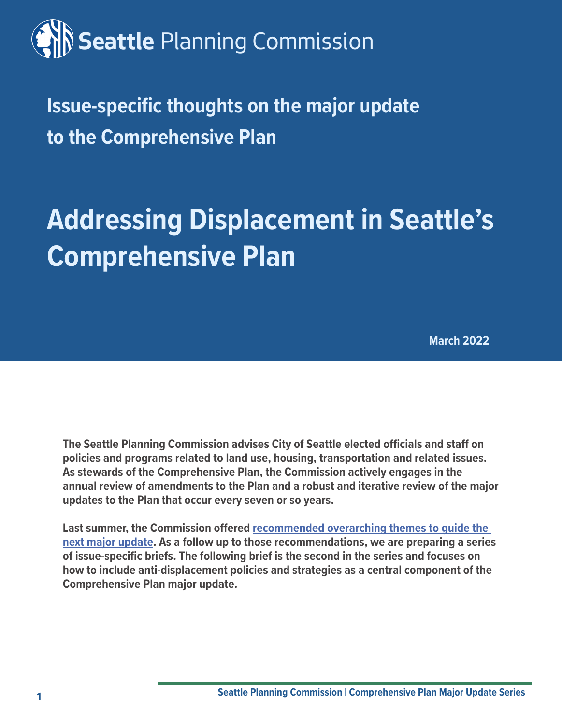# **Seattle** Planning Commission

**Issue-specific thoughts on the major update to the Comprehensive Plan** 

# **Addressing Displacement in Seattle's Comprehensive Plan**

**March 2022**

**The Seattle Planning Commission advises City of Seattle elected officials and staff on policies and programs related to land use, housing, transportation and related issues. As stewards of the Comprehensive Plan, the Commission actively engages in the annual review of amendments to the Plan and a robust and iterative review of the major updates to the Plan that occur every seven or so years.** 

**Last summer, the Commission offered [recommended overarching themes to guide the](https://www.seattle.gov/Documents/Departments/SeattlePlanningCommission/ComprehensivePlan/SPC_recs_re_Overarching_themes_for_the_next_major_update_to_the_Comp_Plan.pdf)  [next major update](https://www.seattle.gov/Documents/Departments/SeattlePlanningCommission/ComprehensivePlan/SPC_recs_re_Overarching_themes_for_the_next_major_update_to_the_Comp_Plan.pdf). As a follow up to those recommendations, we are preparing a series of issue-specific briefs. The following brief is the second in the series and focuses on how to include anti-displacement policies and strategies as a central component of the Comprehensive Plan major update.**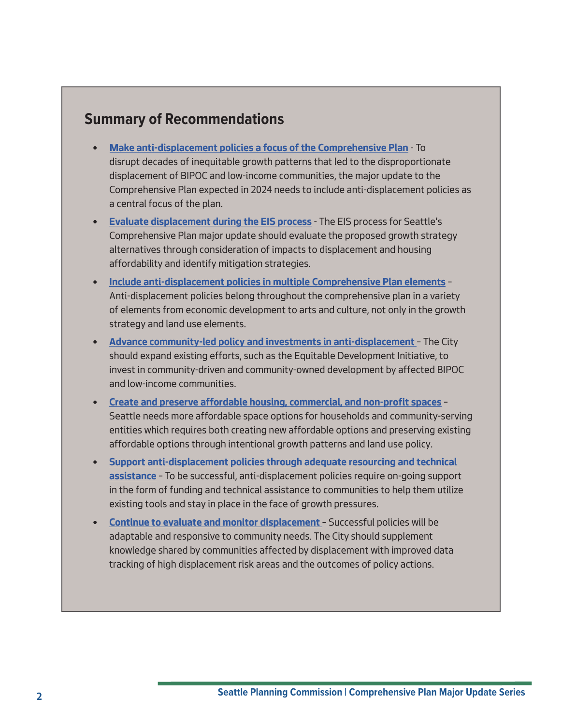## **Summary of Recommendations**

- **[Make anti-displacement policies a focus of the Comprehensive Plan](#page-7-0)** To disrupt decades of inequitable growth patterns that led to the disproportionate displacement of BIPOC and low-income communities, the major update to the Comprehensive Plan expected in 2024 needs to include anti-displacement policies as a central focus of the plan.
- **[Evaluate displacement during the EIS process](#page-8-0)** The EIS process for Seattle's Comprehensive Plan major update should evaluate the proposed growth strategy alternatives through consideration of impacts to displacement and housing affordability and identify mitigation strategies.
- **[Include anti-displacement policies in multiple Comprehensive Plan elements](#page-8-1)** Anti-displacement policies belong throughout the comprehensive plan in a variety of elements from economic development to arts and culture, not only in the growth strategy and land use elements.
- **[Advance community-led policy and investments in anti-displacement](#page-9-0)** The City should expand existing efforts, such as the Equitable Development Initiative, to invest in community-driven and community-owned development by affected BIPOC and low-income communities.
- **[Create and preserve affordable housing, commercial, and non-profit spaces](#page-10-0)** Seattle needs more affordable space options for households and community-serving entities which requires both creating new affordable options and preserving existing affordable options through intentional growth patterns and land use policy.
- **[Support anti-displacement policies through adequate resourcing and technical](#page-11-0)  [assistance](#page-11-0)** – To be successful, anti-displacement policies require on-going support in the form of funding and technical assistance to communities to help them utilize existing tools and stay in place in the face of growth pressures.
- **[Continue to evaluate and monitor displacement](#page-12-0)** Successful policies will be adaptable and responsive to community needs. The City should supplement knowledge shared by communities affected by displacement with improved data tracking of high displacement risk areas and the outcomes of policy actions.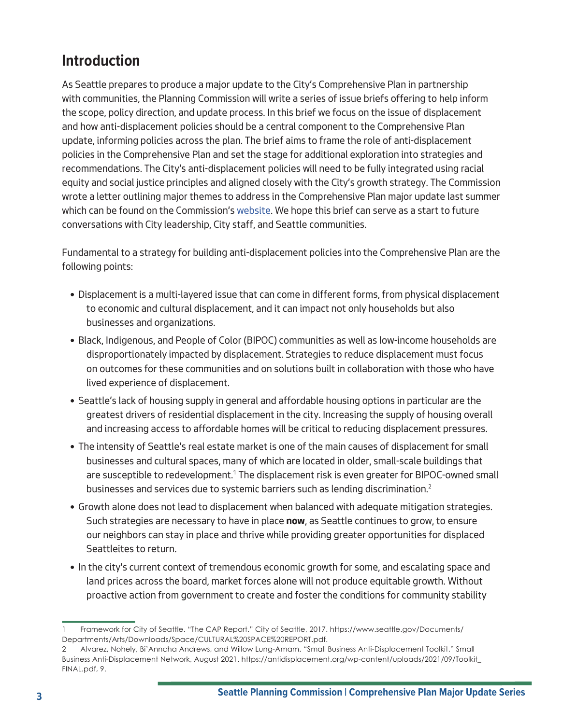# **Introduction**

As Seattle prepares to produce a major update to the City's Comprehensive Plan in partnership with communities, the Planning Commission will write a series of issue briefs offering to help inform the scope, policy direction, and update process. In this brief we focus on the issue of displacement and how anti-displacement policies should be a central component to the Comprehensive Plan update, informing policies across the plan. The brief aims to frame the role of anti-displacement policies in the Comprehensive Plan and set the stage for additional exploration into strategies and recommendations. The City's anti-displacement policies will need to be fully integrated using racial equity and social justice principles and aligned closely with the City's growth strategy. The Commission wrote a letter outlining major themes to address in the Comprehensive Plan major update last summer which can be found on the Commission's [website](https://www.seattle.gov/Documents/Departments/SeattlePlanningCommission/ComprehensivePlan/SPC_recs_re_Overarching_themes_for_the_next_major_update_to_the_Comp_Plan.pdf). We hope this brief can serve as a start to future conversations with City leadership, City staff, and Seattle communities.

Fundamental to a strategy for building anti-displacement policies into the Comprehensive Plan are the following points:

- Displacement is a multi-layered issue that can come in different forms, from physical displacement to economic and cultural displacement, and it can impact not only households but also businesses and organizations.
- Black, Indigenous, and People of Color (BIPOC) communities as well as low-income households are disproportionately impacted by displacement. Strategies to reduce displacement must focus on outcomes for these communities and on solutions built in collaboration with those who have lived experience of displacement.
- Seattle's lack of housing supply in general and affordable housing options in particular are the greatest drivers of residential displacement in the city. Increasing the supply of housing overall and increasing access to affordable homes will be critical to reducing displacement pressures.
- The intensity of Seattle's real estate market is one of the main causes of displacement for small businesses and cultural spaces, many of which are located in older, small-scale buildings that are susceptible to redevelopment.<sup>1</sup> The displacement risk is even greater for BIPOC-owned small businesses and services due to systemic barriers such as lending discrimination.<sup>2</sup>
- Growth alone does not lead to displacement when balanced with adequate mitigation strategies. Such strategies are necessary to have in place **now**, as Seattle continues to grow, to ensure our neighbors can stay in place and thrive while providing greater opportunities for displaced Seattleites to return.
- In the city's current context of tremendous economic growth for some, and escalating space and land prices across the board, market forces alone will not produce equitable growth. Without proactive action from government to create and foster the conditions for community stability

<sup>1</sup> Framework for City of Seattle. "The CAP Report." City of Seattle, 2017. https://www.seattle.gov/Documents/ Departments/Arts/Downloads/Space/CULTURAL%20SPACE%20REPORT.pdf.

<sup>2</sup> Alvarez, Nohely, Bi'Anncha Andrews, and Willow Lung-Amam. "Small Business Anti-Displacement Toolkit." Small Business Anti-Displacement Network, August 2021. https://antidisplacement.org/wp-content/uploads/2021/09/Toolkit\_ FINAL.pdf, 9.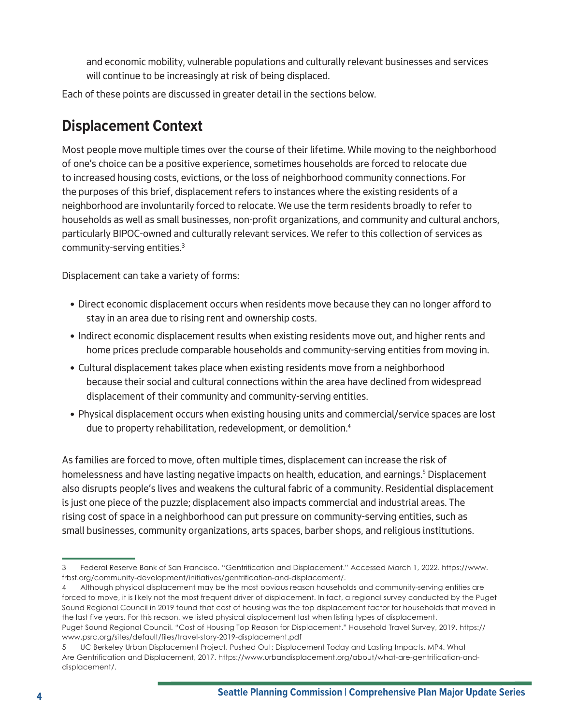and economic mobility, vulnerable populations and culturally relevant businesses and services will continue to be increasingly at risk of being displaced.

Each of these points are discussed in greater detail in the sections below.

# **Displacement Context**

Most people move multiple times over the course of their lifetime. While moving to the neighborhood of one's choice can be a positive experience, sometimes households are forced to relocate due to increased housing costs, evictions, or the loss of neighborhood community connections. For the purposes of this brief, displacement refers to instances where the existing residents of a neighborhood are involuntarily forced to relocate. We use the term residents broadly to refer to households as well as small businesses, non-profit organizations, and community and cultural anchors, particularly BIPOC-owned and culturally relevant services. We refer to this collection of services as community-serving entities.3

Displacement can take a variety of forms:

- Direct economic displacement occurs when residents move because they can no longer afford to stay in an area due to rising rent and ownership costs.
- Indirect economic displacement results when existing residents move out, and higher rents and home prices preclude comparable households and community-serving entities from moving in.
- Cultural displacement takes place when existing residents move from a neighborhood because their social and cultural connections within the area have declined from widespread displacement of their community and community-serving entities.
- Physical displacement occurs when existing housing units and commercial/service spaces are lost due to property rehabilitation, redevelopment, or demolition.<sup>4</sup>

As families are forced to move, often multiple times, displacement can increase the risk of homelessness and have lasting negative impacts on health, education, and earnings.<sup>5</sup> Displacement also disrupts people's lives and weakens the cultural fabric of a community. Residential displacement is just one piece of the puzzle; displacement also impacts commercial and industrial areas. The rising cost of space in a neighborhood can put pressure on community-serving entities, such as small businesses, community organizations, arts spaces, barber shops, and religious institutions.

4 Although physical displacement may be the most obvious reason households and community-serving entities are forced to move, it is likely not the most frequent driver of displacement. In fact, a regional survey conducted by the Puget Sound Regional Council in 2019 found that cost of housing was the top displacement factor for households that moved in the last five years. For this reason, we listed physical displacement last when listing types of displacement. Puget Sound Regional Council. "Cost of Housing Top Reason for Displacement." Household Travel Survey, 2019. https:// www.psrc.org/sites/default/files/travel-story-2019-displacement.pdf

<sup>3</sup> Federal Reserve Bank of San Francisco. "Gentrification and Displacement." Accessed March 1, 2022. https://www. frbsf.org/community-development/initiatives/gentrification-and-displacement/.

<sup>5</sup> UC Berkeley Urban Displacement Project. Pushed Out: Displacement Today and Lasting Impacts. MP4. What Are Gentrification and Displacement, 2017. https://www.urbandisplacement.org/about/what-are-gentrification-anddisplacement/.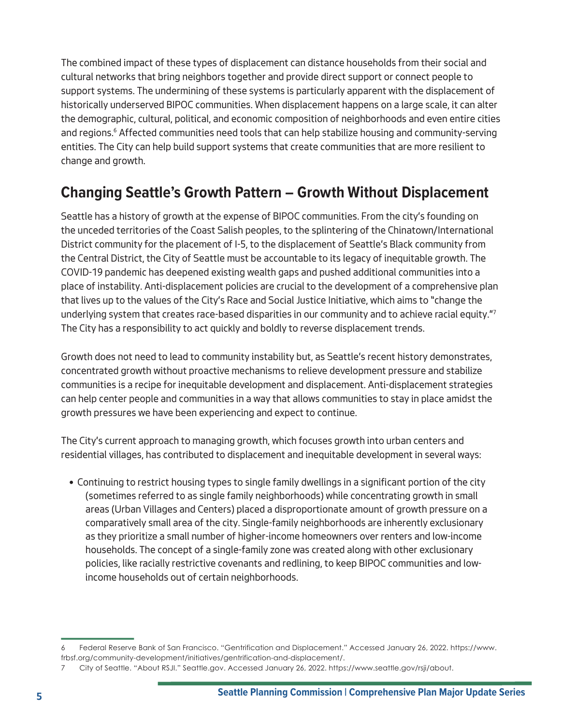The combined impact of these types of displacement can distance households from their social and cultural networks that bring neighbors together and provide direct support or connect people to support systems. The undermining of these systems is particularly apparent with the displacement of historically underserved BIPOC communities. When displacement happens on a large scale, it can alter the demographic, cultural, political, and economic composition of neighborhoods and even entire cities and regions.<sup>6</sup> Affected communities need tools that can help stabilize housing and community-serving entities. The City can help build support systems that create communities that are more resilient to change and growth.

# **Changing Seattle's Growth Pattern – Growth Without Displacement**

Seattle has a history of growth at the expense of BIPOC communities. From the city's founding on the unceded territories of the Coast Salish peoples, to the splintering of the Chinatown/International District community for the placement of I-5, to the displacement of Seattle's Black community from the Central District, the City of Seattle must be accountable to its legacy of inequitable growth. The COVID-19 pandemic has deepened existing wealth gaps and pushed additional communities into a place of instability. Anti-displacement policies are crucial to the development of a comprehensive plan that lives up to the values of the City's Race and Social Justice Initiative, which aims to "change the underlying system that creates race-based disparities in our community and to achieve racial equity."7 The City has a responsibility to act quickly and boldly to reverse displacement trends.

Growth does not need to lead to community instability but, as Seattle's recent history demonstrates, concentrated growth without proactive mechanisms to relieve development pressure and stabilize communities is a recipe for inequitable development and displacement. Anti-displacement strategies can help center people and communities in a way that allows communities to stay in place amidst the growth pressures we have been experiencing and expect to continue.

The City's current approach to managing growth, which focuses growth into urban centers and residential villages, has contributed to displacement and inequitable development in several ways:

• Continuing to restrict housing types to single family dwellings in a significant portion of the city (sometimes referred to as single family neighborhoods) while concentrating growth in small areas (Urban Villages and Centers) placed a disproportionate amount of growth pressure on a comparatively small area of the city. Single-family neighborhoods are inherently exclusionary as they prioritize a small number of higher-income homeowners over renters and low-income households. The concept of a single-family zone was created along with other exclusionary policies, like racially restrictive covenants and redlining, to keep BIPOC communities and lowincome households out of certain neighborhoods.

<sup>6</sup> Federal Reserve Bank of San Francisco. "Gentrification and Displacement." Accessed January 26, 2022. https://www. frbsf.org/community-development/initiatives/gentrification-and-displacement/.

<sup>7</sup> City of Seattle. "About RSJI." Seattle.gov. Accessed January 26, 2022. https://www.seattle.gov/rsji/about.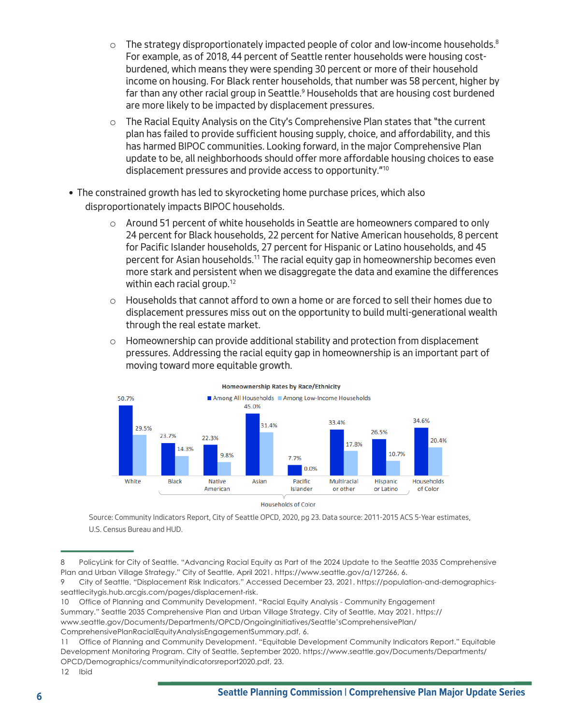- $\circ$  The strategy disproportionately impacted people of color and low-income households.<sup>8</sup> For example, as of 2018, 44 percent of Seattle renter households were housing costburdened, which means they were spending 30 percent or more of their household income on housing. For Black renter households, that number was 58 percent, higher by far than any other racial group in Seattle.<sup>9</sup> Households that are housing cost burdened are more likely to be impacted by displacement pressures.
- $\circ$  The Racial Equity Analysis on the City's Comprehensive Plan states that "the current plan has failed to provide sufficient housing supply, choice, and affordability, and this has harmed BIPOC communities. Looking forward, in the major Comprehensive Plan update to be, all neighborhoods should offer more affordable housing choices to ease displacement pressures and provide access to opportunity."10
- The constrained growth has led to skyrocketing home purchase prices, which also disproportionately impacts BIPOC households.
	- $\circ$  Around 51 percent of white households in Seattle are homeowners compared to only 24 percent for Black households, 22 percent for Native American households, 8 percent for Pacific Islander households, 27 percent for Hispanic or Latino households, and 45 percent for Asian households.11 The racial equity gap in homeownership becomes even more stark and persistent when we disaggregate the data and examine the differences within each racial group.<sup>12</sup>
	- $\circ$  Households that cannot afford to own a home or are forced to sell their homes due to displacement pressures miss out on the opportunity to build multi-generational wealth through the real estate market.
	- $\circ$  Homeownership can provide additional stability and protection from displacement pressures. Addressing the racial equity gap in homeownership is an important part of moving toward more equitable growth.



#### **Homeownership Rates by Race/Ethnicity**

Source: Community Indicators Report, City of Seattle OPCD, 2020, pg 23. Data source: 2011-2015 ACS 5-Year estimates, U.S. Census Bureau and HUD.

```
12 Ibid
```
<sup>8</sup> PolicyLink for City of Seattle. "Advancing Racial Equity as Part of the 2024 Update to the Seattle 2035 Comprehensive Plan and Urban Village Strategy." City of Seattle, April 2021. [https://www.seattle.gov/a/127266,](https://www.seattle.gov/a/127266) 6.

<sup>9</sup> City of Seattle. "Displacement Risk Indicators." Accessed December 23, 2021. https://population-and-demographicsseattlecitygis.hub.arcgis.com/pages/displacement-risk.

<sup>10</sup> Office of Planning and Community Development. "Racial Equity Analysis - Community Engagement Summary." Seattle 2035 Comprehensive Plan and Urban Village Strategy. City of Seattle, May 2021. https:// www.seattle.gov/Documents/Departments/OPCD/OngoingInitiatives/Seattle'sComprehensivePlan/ ComprehensivePlanRacialEquityAnalysisEngagementSummary.pdf, 6.

<sup>11</sup> Office of Planning and Community Development. "Equitable Development Community Indicators Report." Equitable Development Monitoring Program. City of Seattle, September 2020. https://www.seattle.gov/Documents/Departments/ OPCD/Demographics/communityindicatorsreport2020.pdf, 23.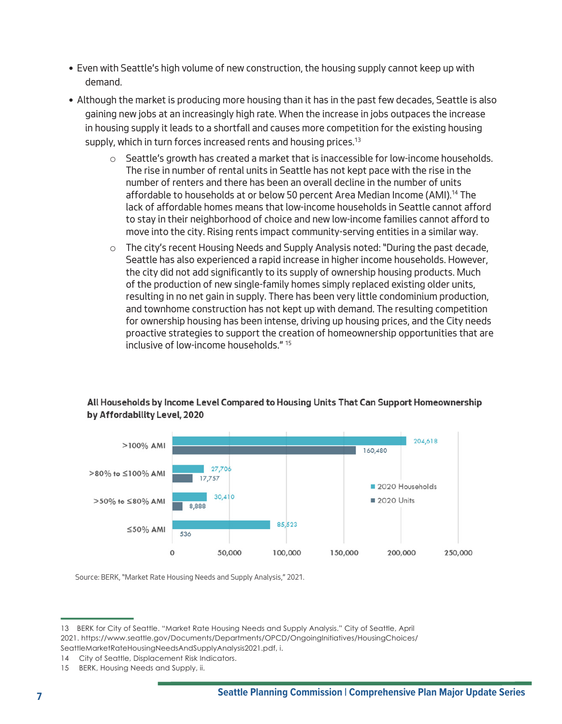- Even with Seattle's high volume of new construction, the housing supply cannot keep up with demand.
- Although the market is producing more housing than it has in the past few decades, Seattle is also gaining new jobs at an increasingly high rate. When the increase in jobs outpaces the increase in housing supply it leads to a shortfall and causes more competition for the existing housing supply, which in turn forces increased rents and housing prices.<sup>13</sup>
	- $\circ$  Seattle's growth has created a market that is inaccessible for low-income households. The rise in number of rental units in Seattle has not kept pace with the rise in the number of renters and there has been an overall decline in the number of units affordable to households at or below 50 percent Area Median Income (AMI).14 The lack of affordable homes means that low-income households in Seattle cannot afford to stay in their neighborhood of choice and new low-income families cannot afford to move into the city. Rising rents impact community-serving entities in a similar way.
	- $\circ$  The city's recent Housing Needs and Supply Analysis noted: "During the past decade, Seattle has also experienced a rapid increase in higher income households. However, the city did not add significantly to its supply of ownership housing products. Much of the production of new single-family homes simply replaced existing older units, resulting in no net gain in supply. There has been very little condominium production, and townhome construction has not kept up with demand. The resulting competition for ownership housing has been intense, driving up housing prices, and the City needs proactive strategies to support the creation of homeownership opportunities that are inclusive of low-income households." 15



### All Households by Income Level Compared to Housing Units That Can Support Homeownership by Affordability Level, 2020

Source: BERK, "Market Rate Housing Needs and Supply Analysis," 2021.

<sup>13</sup> BERK for City of Seattle. "Market Rate Housing Needs and Supply Analysis." City of Seattle, April 2021. https://www.seattle.gov/Documents/Departments/OPCD/OngoingInitiatives/HousingChoices/ SeattleMarketRateHousingNeedsAndSupplyAnalysis2021.pdf, i.

<sup>14</sup> City of Seattle, Displacement Risk Indicators.

<sup>15</sup> BERK, Housing Needs and Supply, ii.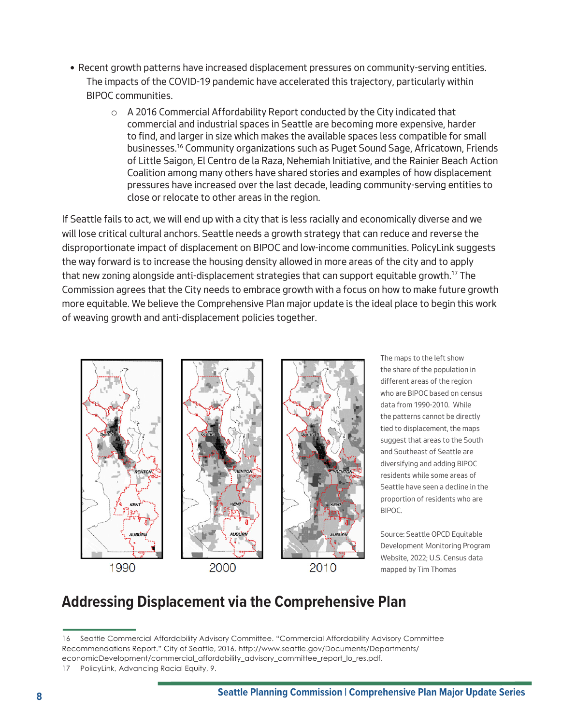- Recent growth patterns have increased displacement pressures on community-serving entities. The impacts of the COVID-19 pandemic have accelerated this trajectory, particularly within BIPOC communities.
	- $\circ$  A 2016 Commercial Affordability Report conducted by the City indicated that commercial and industrial spaces in Seattle are becoming more expensive, harder to find, and larger in size which makes the available spaces less compatible for small businesses.16 Community organizations such as Puget Sound Sage, Africatown, Friends of Little Saigon, El Centro de la Raza, Nehemiah Initiative, and the Rainier Beach Action Coalition among many others have shared stories and examples of how displacement pressures have increased over the last decade, leading community-serving entities to close or relocate to other areas in the region.

If Seattle fails to act, we will end up with a city that is less racially and economically diverse and we will lose critical cultural anchors. Seattle needs a growth strategy that can reduce and reverse the disproportionate impact of displacement on BIPOC and low-income communities. PolicyLink suggests the way forward is to increase the housing density allowed in more areas of the city and to apply that new zoning alongside anti-displacement strategies that can support equitable growth.<sup>17</sup> The Commission agrees that the City needs to embrace growth with a focus on how to make future growth more equitable. We believe the Comprehensive Plan major update is the ideal place to begin this work of weaving growth and anti-displacement policies together.



The maps to the left show the share of the population in different areas of the region who are BIPOC based on census data from 1990-2010. While the patterns cannot be directly tied to displacement, the maps suggest that areas to the South and Southeast of Seattle are diversifying and adding BIPOC residents while some areas of Seattle have seen a decline in the proportion of residents who are BIPOC.

Source: Seattle OPCD Equitable Development Monitoring Program Website, 2022; U.S. Census data mapped by Tim Thomas

# <span id="page-7-0"></span>**Addressing Displacement via the Comprehensive Plan**

<sup>16</sup> Seattle Commercial Affordability Advisory Committee. "Commercial Affordability Advisory Committee Recommendations Report." City of Seattle, 2016. http://www.seattle.gov/Documents/Departments/ economicDevelopment/commercial\_affordability\_advisory\_committee\_report\_lo\_res.pdf.

<sup>17</sup> PolicyLink, Advancing Racial Equity, 9.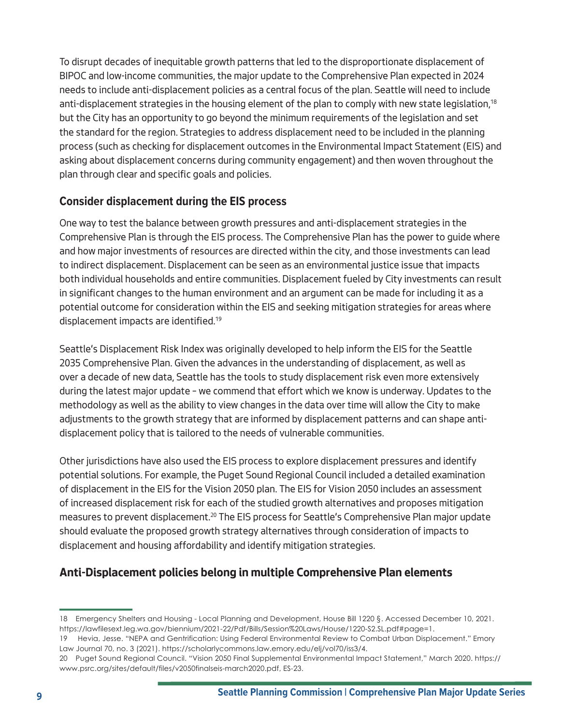To disrupt decades of inequitable growth patterns that led to the disproportionate displacement of BIPOC and low-income communities, the major update to the Comprehensive Plan expected in 2024 needs to include anti-displacement policies as a central focus of the plan. Seattle will need to include anti-displacement strategies in the housing element of the plan to comply with new state legislation,<sup>18</sup> but the City has an opportunity to go beyond the minimum requirements of the legislation and set the standard for the region. Strategies to address displacement need to be included in the planning process (such as checking for displacement outcomes in the Environmental Impact Statement (EIS) and asking about displacement concerns during community engagement) and then woven throughout the plan through clear and specific goals and policies.

## <span id="page-8-0"></span>**Consider displacement during the EIS process**

One way to test the balance between growth pressures and anti-displacement strategies in the Comprehensive Plan is through the EIS process. The Comprehensive Plan has the power to guide where and how major investments of resources are directed within the city, and those investments can lead to indirect displacement. Displacement can be seen as an environmental justice issue that impacts both individual households and entire communities. Displacement fueled by City investments can result in significant changes to the human environment and an argument can be made for including it as a potential outcome for consideration within the EIS and seeking mitigation strategies for areas where displacement impacts are identified.<sup>19</sup>

Seattle's Displacement Risk Index was originally developed to help inform the EIS for the Seattle 2035 Comprehensive Plan. Given the advances in the understanding of displacement, as well as over a decade of new data, Seattle has the tools to study displacement risk even more extensively during the latest major update – we commend that effort which we know is underway. Updates to the methodology as well as the ability to view changes in the data over time will allow the City to make adjustments to the growth strategy that are informed by displacement patterns and can shape antidisplacement policy that is tailored to the needs of vulnerable communities.

Other jurisdictions have also used the EIS process to explore displacement pressures and identify potential solutions. For example, the Puget Sound Regional Council included a detailed examination of displacement in the EIS for the Vision 2050 plan. The EIS for Vision 2050 includes an assessment of increased displacement risk for each of the studied growth alternatives and proposes mitigation measures to prevent displacement.20 The EIS process for Seattle's Comprehensive Plan major update should evaluate the proposed growth strategy alternatives through consideration of impacts to displacement and housing affordability and identify mitigation strategies.

## <span id="page-8-1"></span>**Anti-Displacement policies belong in multiple Comprehensive Plan elements**

<sup>18</sup> Emergency Shelters and Housing - Local Planning and Development, House Bill 1220 §. Accessed December 10, 2021. https://lawfilesext.leg.wa.gov/biennium/2021-22/Pdf/Bills/Session%20Laws/House/1220-S2.SL.pdf#page=1.

<sup>19</sup> Hevia, Jesse. "NEPA and Gentrification: Using Federal Environmental Review to Combat Urban Displacement." Emory Law Journal 70, no. 3 (2021). https://scholarlycommons.law.emory.edu/elj/vol70/iss3/4.

<sup>20</sup> Puget Sound Regional Council. "Vision 2050 Final Supplemental Environmental Impact Statement," March 2020. https:// www.psrc.org/sites/default/files/v2050finalseis-march2020.pdf, ES-23.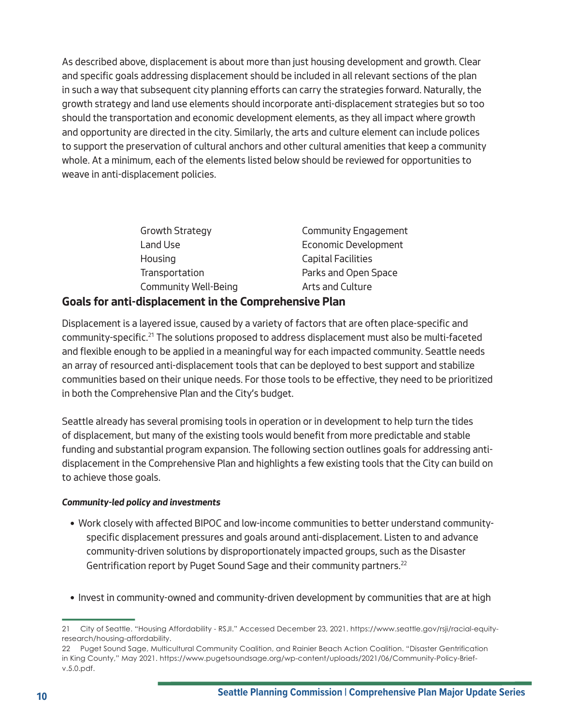As described above, displacement is about more than just housing development and growth. Clear and specific goals addressing displacement should be included in all relevant sections of the plan in such a way that subsequent city planning efforts can carry the strategies forward. Naturally, the growth strategy and land use elements should incorporate anti-displacement strategies but so too should the transportation and economic development elements, as they all impact where growth and opportunity are directed in the city. Similarly, the arts and culture element can include polices to support the preservation of cultural anchors and other cultural amenities that keep a community whole. At a minimum, each of the elements listed below should be reviewed for opportunities to weave in anti-displacement policies.

| <b>Growth Strategy</b>                               | <b>Community Engagement</b> |
|------------------------------------------------------|-----------------------------|
| Land Use                                             | <b>Economic Development</b> |
| Housing                                              | <b>Capital Facilities</b>   |
| Transportation                                       | Parks and Open Space        |
| <b>Community Well-Being</b>                          | Arts and Culture            |
| oale for anti-dicplacement in the Comprehencive Plan |                             |

# **Goals for anti-displacement in the Comprehensive Plan**

Displacement is a layered issue, caused by a variety of factors that are often place-specific and community-specific.<sup>21</sup> The solutions proposed to address displacement must also be multi-faceted and flexible enough to be applied in a meaningful way for each impacted community. Seattle needs an array of resourced anti-displacement tools that can be deployed to best support and stabilize communities based on their unique needs. For those tools to be effective, they need to be prioritized in both the Comprehensive Plan and the City's budget.

Seattle already has several promising tools in operation or in development to help turn the tides of displacement, but many of the existing tools would benefit from more predictable and stable funding and substantial program expansion. The following section outlines goals for addressing antidisplacement in the Comprehensive Plan and highlights a few existing tools that the City can build on to achieve those goals.

### <span id="page-9-0"></span>*Community-led policy and investments*

- Work closely with affected BIPOC and low-income communities to better understand communityspecific displacement pressures and goals around anti-displacement. Listen to and advance community-driven solutions by disproportionately impacted groups, such as the Disaster Gentrification report by Puget Sound Sage and their community partners.<sup>22</sup>
- Invest in community-owned and community-driven development by communities that are at high

<sup>21</sup> City of Seattle. "Housing Affordability - RSJI." Accessed December 23, 2021. https://www.seattle.gov/rsji/racial-equityresearch/housing-affordability.

<sup>22</sup> Puget Sound Sage, Multicultural Community Coalition, and Rainier Beach Action Coalition. "Disaster Gentrification in King County," May 2021. https://www.pugetsoundsage.org/wp-content/uploads/2021/06/Community-Policy-Briefv.5.0.pdf.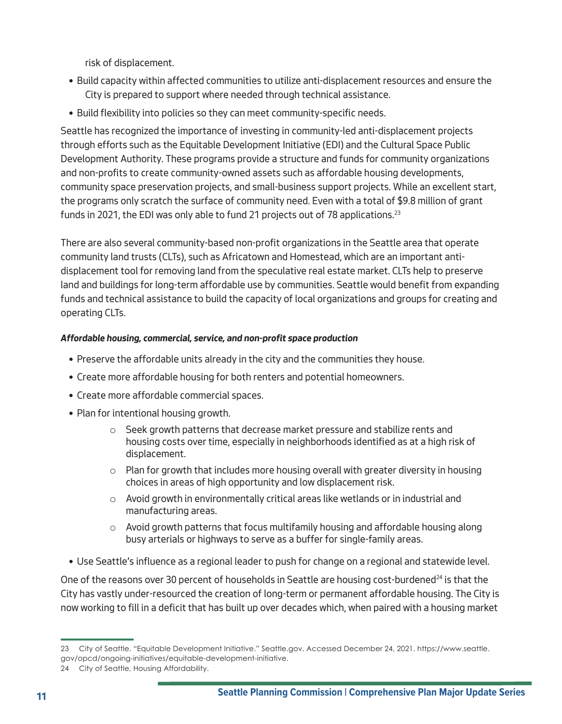risk of displacement.

- Build capacity within affected communities to utilize anti-displacement resources and ensure the City is prepared to support where needed through technical assistance.
- Build flexibility into policies so they can meet community-specific needs.

Seattle has recognized the importance of investing in community-led anti-displacement projects through efforts such as the Equitable Development Initiative (EDI) and the Cultural Space Public Development Authority. These programs provide a structure and funds for community organizations and non-profits to create community-owned assets such as affordable housing developments, community space preservation projects, and small-business support projects. While an excellent start, the programs only scratch the surface of community need. Even with a total of \$9.8 million of grant funds in 2021, the EDI was only able to fund 21 projects out of 78 applications.<sup>23</sup>

There are also several community-based non-profit organizations in the Seattle area that operate community land trusts (CLTs), such as Africatown and Homestead, which are an important antidisplacement tool for removing land from the speculative real estate market. CLTs help to preserve land and buildings for long-term affordable use by communities. Seattle would benefit from expanding funds and technical assistance to build the capacity of local organizations and groups for creating and operating CLTs.

## <span id="page-10-0"></span>*Affordable housing, commercial, service, and non-profit space production*

- Preserve the affordable units already in the city and the communities they house.
- Create more affordable housing for both renters and potential homeowners.
- Create more affordable commercial spaces.
- Plan for intentional housing growth.
	- $\circ$  Seek growth patterns that decrease market pressure and stabilize rents and housing costs over time, especially in neighborhoods identified as at a high risk of displacement.
	- $\circ$  Plan for growth that includes more housing overall with greater diversity in housing choices in areas of high opportunity and low displacement risk.
	- o Avoid growth in environmentally critical areas like wetlands or in industrial and manufacturing areas.
	- $\circ$  Avoid growth patterns that focus multifamily housing and affordable housing along busy arterials or highways to serve as a buffer for single-family areas.
- Use Seattle's influence as a regional leader to push for change on a regional and statewide level.

One of the reasons over 30 percent of households in Seattle are housing cost-burdened $^{24}$  is that the City has vastly under-resourced the creation of long-term or permanent affordable housing. The City is now working to fill in a deficit that has built up over decades which, when paired with a housing market

<sup>23</sup> City of Seattle. "Equitable Development Initiative." Seattle.gov. Accessed December 24, 2021. https://www.seattle. gov/opcd/ongoing-initiatives/equitable-development-initiative.

<sup>24</sup> City of Seattle, Housing Affordability.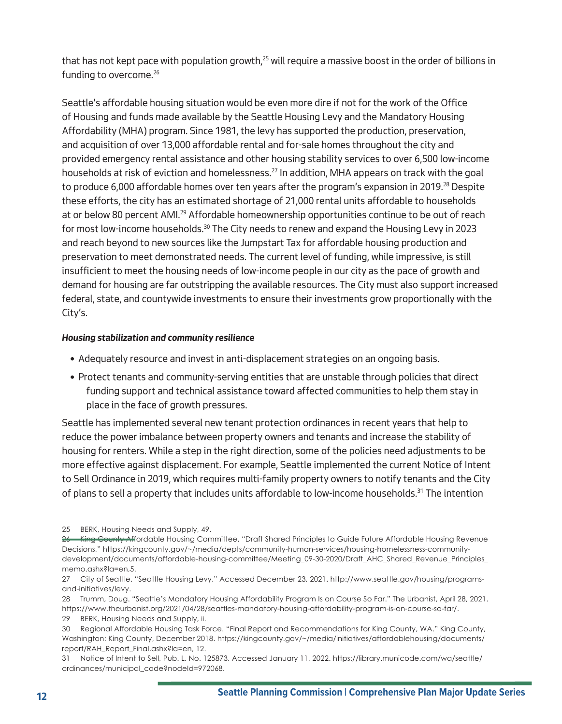that has not kept pace with population growth,<sup>25</sup> will require a massive boost in the order of billions in funding to overcome.<sup>26</sup>

Seattle's affordable housing situation would be even more dire if not for the work of the Office of Housing and funds made available by the Seattle Housing Levy and the Mandatory Housing Affordability (MHA) program. Since 1981, the levy has supported the production, preservation, and acquisition of over 13,000 affordable rental and for-sale homes throughout the city and provided emergency rental assistance and other housing stability services to over 6,500 low-income households at risk of eviction and homelessness.<sup>27</sup> In addition, MHA appears on track with the goal to produce 6,000 affordable homes over ten years after the program's expansion in 2019.<sup>28</sup> Despite these efforts, the city has an estimated shortage of 21,000 rental units affordable to households at or below 80 percent AMI.<sup>29</sup> Affordable homeownership opportunities continue to be out of reach for most low-income households.<sup>30</sup> The City needs to renew and expand the Housing Levy in 2023 and reach beyond to new sources like the Jumpstart Tax for affordable housing production and preservation to meet demonstrated needs. The current level of funding, while impressive, is still insufficient to meet the housing needs of low-income people in our city as the pace of growth and demand for housing are far outstripping the available resources. The City must also support increased federal, state, and countywide investments to ensure their investments grow proportionally with the City's.

#### <span id="page-11-0"></span>*Housing stabilization and community resilience*

- Adequately resource and invest in anti-displacement strategies on an ongoing basis.
- Protect tenants and community-serving entities that are unstable through policies that direct funding support and technical assistance toward affected communities to help them stay in place in the face of growth pressures.

Seattle has implemented several new tenant protection ordinances in recent years that help to reduce the power imbalance between property owners and tenants and increase the stability of housing for renters. While a step in the right direction, some of the policies need adjustments to be more effective against displacement. For example, Seattle implemented the current Notice of Intent to Sell Ordinance in 2019, which requires multi-family property owners to notify tenants and the City of plans to sell a property that includes units affordable to low-income households.<sup>31</sup> The intention

<sup>25</sup> BERK, Housing Needs and Supply, 49.

<sup>26</sup> King County Affordable Housing Committee, "Draft Shared Principles to Guide Future Affordable Housing Revenue Decisions," https://kingcounty.gov/~/media/depts/community-human-services/housing-homelessness-communitydevelopment/documents/affordable-housing-committee/Meeting\_09-30-2020/Draft\_AHC\_Shared\_Revenue\_Principles\_ memo.ashx?la=en,5.

<sup>27</sup> City of Seattle. "Seattle Housing Levy." Accessed December 23, 2021. http://www.seattle.gov/housing/programsand-initiatives/levy.

<sup>28</sup> Trumm, Doug. "Seattle's Mandatory Housing Affordability Program Is on Course So Far." The Urbanist, April 28, 2021. https://www.theurbanist.org/2021/04/28/seattles-mandatory-housing-affordability-program-is-on-course-so-far/.

<sup>29</sup> BERK, Housing Needs and Supply, ii.

<sup>30</sup> Regional Affordable Housing Task Force. "Final Report and Recommendations for King County, WA." King County, Washington: King County, December 2018. https://kingcounty.gov/~/media/initiatives/affordablehousing/documents/ report/RAH\_Report\_Final.ashx?la=en, 12.

<sup>31</sup> Notice of Intent to Sell, Pub. L. No. 125873. Accessed January 11, 2022. https://library.municode.com/wa/seattle/ ordinances/municipal\_code?nodeId=972068.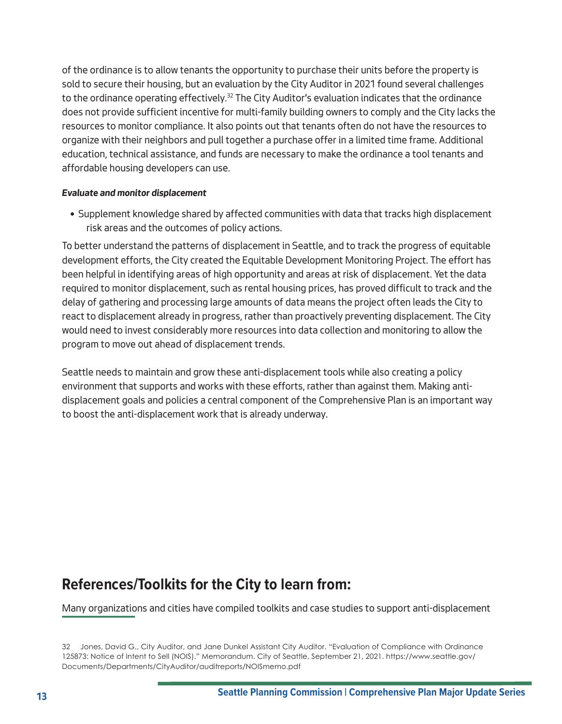of the ordinance is to allow tenants the opportunity to purchase their units before the property is sold to secure their housing, but an evaluation by the City Auditor in 2021 found several challenges to the ordinance operating effectively.<sup>32</sup> The City Auditor's evaluation indicates that the ordinance does not provide sufficient incentive for multi-family building owners to comply and the City lacks the resources to monitor compliance. It also points out that tenants often do not have the resources to organize with their neighbors and pull together a purchase offer in a limited time frame. Additional education, technical assistance, and funds are necessary to make the ordinance a tool tenants and affordable housing developers can use.

#### <span id="page-12-0"></span>*Evaluate and monitor displacement*

• Supplement knowledge shared by affected communities with data that tracks high displacement risk areas and the outcomes of policy actions.

To better understand the patterns of displacement in Seattle, and to track the progress of equitable development efforts, the City created the Equitable Development Monitoring Project. The effort has been helpful in identifying areas of high opportunity and areas at risk of displacement. Yet the data required to monitor displacement, such as rental housing prices, has proved difficult to track and the delay of gathering and processing large amounts of data means the project often leads the City to react to displacement already in progress, rather than proactively preventing displacement. The City would need to invest considerably more resources into data collection and monitoring to allow the program to move out ahead of displacement trends.

Seattle needs to maintain and grow these anti-displacement tools while also creating a policy environment that supports and works with these efforts, rather than against them. Making antidisplacement goals and policies a central component of the Comprehensive Plan is an important way to boost the anti-displacement work that is already underway.

## **References/Toolkits for the City to learn from:**

Many organizations and cities have compiled toolkits and case studies to support anti-displacement

<sup>32</sup> Jones, David G., City Auditor, and Jane Dunkel Assistant City Auditor. "Evaluation of Compliance with Ordinance 125873: Notice of Intent to Sell (NOIS)." Memorandum. City of Seattle, September 21, 2021. [https://www.seattle.gov/](https://www.seattle.gov/Documents/Departments/CityAuditor/auditreports/NOISmemo.pdf) [Documents/Departments/CityAuditor/auditreports/NOISmemo.pdf](https://www.seattle.gov/Documents/Departments/CityAuditor/auditreports/NOISmemo.pdf)